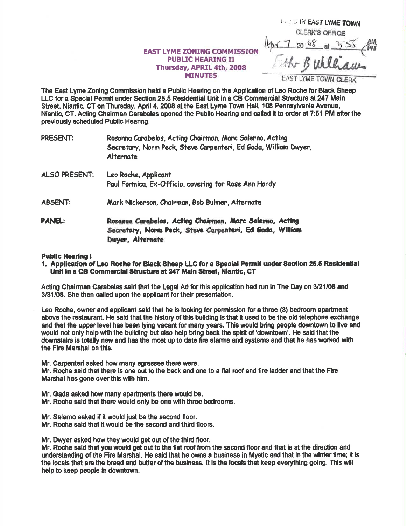## **EAST LYME ZONING COMMISSION PUBLIC HEARING II** Thursday, APRIL 4th, 2008 **MINUTES**

**FILL J IN EAST LYME TOWN CLERK'S OFFICE** 

The East Lyme Zoning Commission held a Public Hearing on the Application of Leo Roche for Black Sheep LLC for a Special Permit under Section 25.5 Residential Unit in a CB Commercial Structure at 247 Main Street, Niantic, CT on Thursday, April 4, 2008 at the East Lyme Town Hall, 108 Pennsylvania Avenue, Niantic, CT. Acting Chairman Carabelas opened the Public Hearing and called it to order at 7:51 PM after the previously scheduled Public Hearing.

| PRESENT:       | Rosanna Carabelas, Acting Chairman, Marc Salerno, Acting<br>Secretary, Norm Peck, Steve Carpenteri, Ed Gada, William Dwyer,<br><b>Alternate</b> |
|----------------|-------------------------------------------------------------------------------------------------------------------------------------------------|
| ALSO PRESENT:  | Leo Roche, Applicant<br>Paul Formica, Ex-Officio, covering for Rose Ann Hardy                                                                   |
| <b>ABSENT:</b> | Mark Nickerson, Chairman, Bob Bulmer, Alternate                                                                                                 |
| PANEL:         | Rosanna Carabelas, Acting Chairman, Marc Salerno, Acting<br>Secretary, Norm Peck, Steve Carpenteri, Ed Gada, William<br>Dwyer Alternate         |

## **Public Hearing!**

1. Application of Leo Roche for Black Sheep LLC for a Special Permit under Section 25.5 Residential Unit in a CB Commercial Structure at 247 Main Street, Niantic, CT

Acting Chairman Carabelas said that the Legal Ad for this application had run in The Day on 3/21/08 and 3/31/08. She then called upon the applicant for their presentation.

Leo Roche, owner and applicant said that he is looking for permission for a three (3) bedroom apartment above the restaurant. He said that the history of this building is that it used to be the old telephone exchange and that the upper level has been lying vacant for many years. This would bring people downtown to live and would not only help with the building but also help bring back the spirit of 'downtown'. He said that the downstairs is totally new and has the most up to date fire alarms and systems and that he has worked with the Fire Marshal on this.

Mr. Carpenteri asked how many egresses there were.

Mr. Roche said that there is one out to the back and one to a flat roof and fire ladder and that the Fire Marshal has gone over this with him.

- Mr. Gada asked how many apartments there would be.
- Mr. Roche said that there would only be one with three bedrooms.
- Mr. Salerno asked if it would just be the second floor.
- Mr. Roche said that it would be the second and third floors.

Mr. Dwyer asked how they would get out of the third floor.

Mr. Roche said that you would get out to the flat roof from the second floor and that is at the direction and understanding of the Fire Marshal. He said that he owns a business in Mystic and that in the winter time; it is the locals that are the bread and butter of the business. It is the locals that keep everything going. This will help to keep people in downtown.